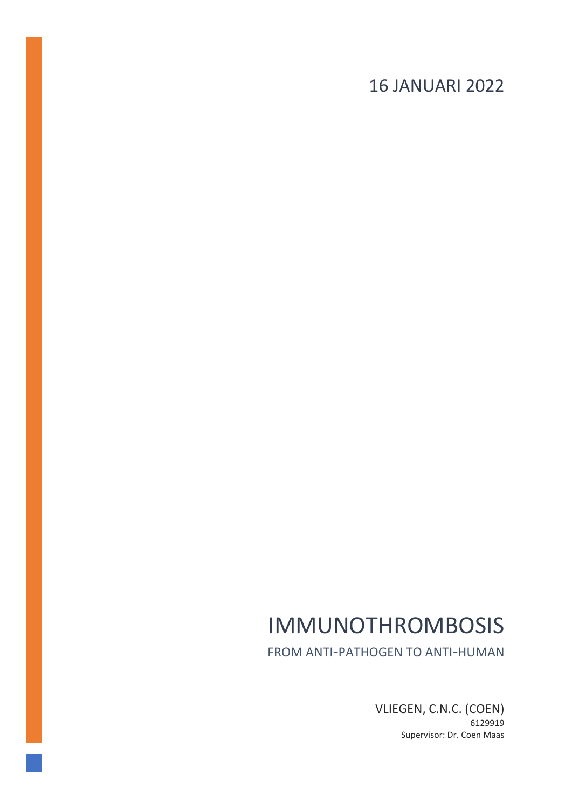# 16 JANUARI 2022

# IMMUNOTHROMBOSIS

FROM ANTI-PATHOGEN TO ANTI-HUMAN

VLIEGEN, C.N.C. (COEN) 6129919 Supervisor: Dr. Coen Maas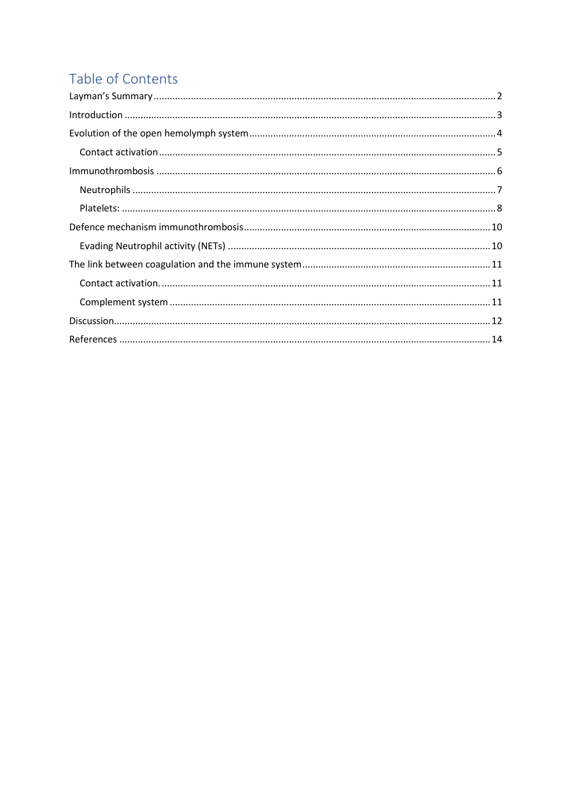# Table of Contents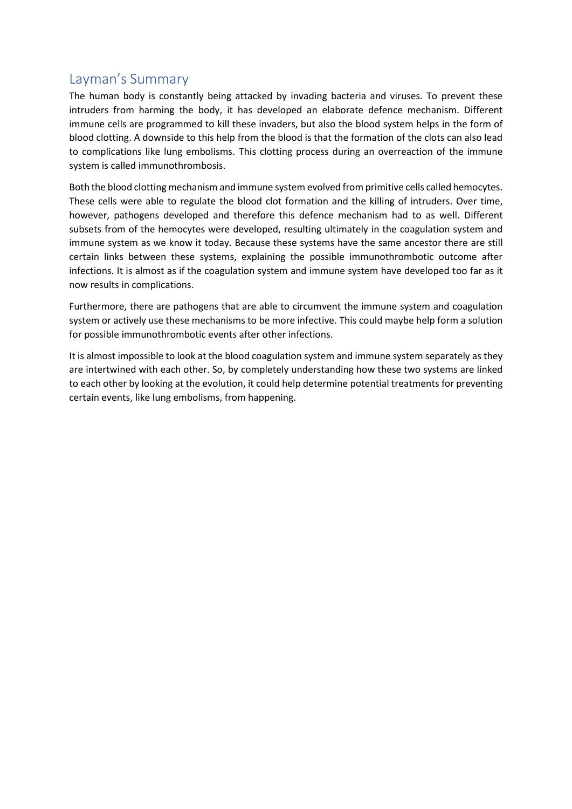### <span id="page-2-0"></span>Layman's Summary

The human body is constantly being attacked by invading bacteria and viruses. To prevent these intruders from harming the body, it has developed an elaborate defence mechanism. Different immune cells are programmed to kill these invaders, but also the blood system helps in the form of blood clotting. A downside to this help from the blood is that the formation of the clots can also lead to complications like lung embolisms. This clotting process during an overreaction of the immune system is called immunothrombosis.

Both the blood clotting mechanism and immune system evolved from primitive cells called hemocytes. These cells were able to regulate the blood clot formation and the killing of intruders. Over time, however, pathogens developed and therefore this defence mechanism had to as well. Different subsets from of the hemocytes were developed, resulting ultimately in the coagulation system and immune system as we know it today. Because these systems have the same ancestor there are still certain links between these systems, explaining the possible immunothrombotic outcome after infections. It is almost as if the coagulation system and immune system have developed too far as it now results in complications.

Furthermore, there are pathogens that are able to circumvent the immune system and coagulation system or actively use these mechanisms to be more infective. This could maybe help form a solution for possible immunothrombotic events after other infections.

It is almost impossible to look at the blood coagulation system and immune system separately as they are intertwined with each other. So, by completely understanding how these two systems are linked to each other by looking at the evolution, it could help determine potential treatments for preventing certain events, like lung embolisms, from happening.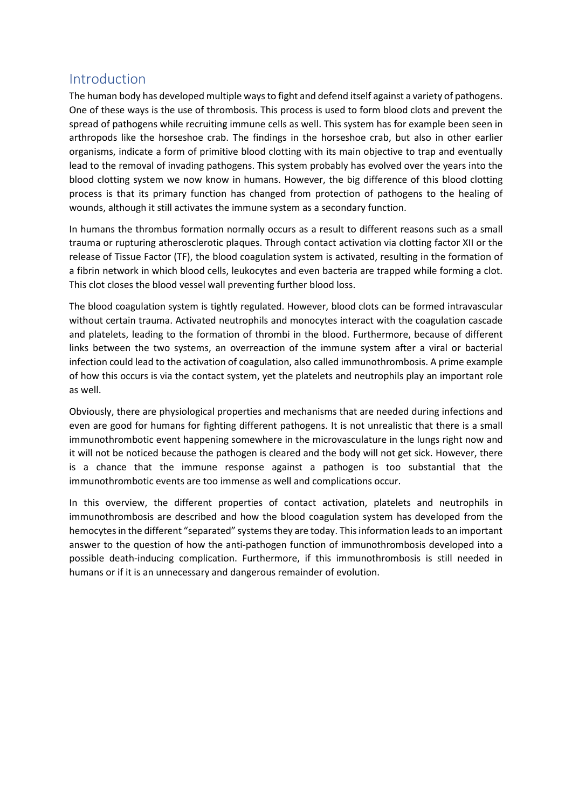### <span id="page-3-0"></span>Introduction

The human body has developed multiple ways to fight and defend itself against a variety of pathogens. One of these ways is the use of thrombosis. This process is used to form blood clots and prevent the spread of pathogens while recruiting immune cells as well. This system has for example been seen in arthropods like the horseshoe crab. The findings in the horseshoe crab, but also in other earlier organisms, indicate a form of primitive blood clotting with its main objective to trap and eventually lead to the removal of invading pathogens. This system probably has evolved over the years into the blood clotting system we now know in humans. However, the big difference of this blood clotting process is that its primary function has changed from protection of pathogens to the healing of wounds, although it still activates the immune system as a secondary function.

In humans the thrombus formation normally occurs as a result to different reasons such as a small trauma or rupturing atherosclerotic plaques. Through contact activation via clotting factor XII or the release of Tissue Factor (TF), the blood coagulation system is activated, resulting in the formation of a fibrin network in which blood cells, leukocytes and even bacteria are trapped while forming a clot. This clot closes the blood vessel wall preventing further blood loss.

The blood coagulation system is tightly regulated. However, blood clots can be formed intravascular without certain trauma. Activated neutrophils and monocytes interact with the coagulation cascade and platelets, leading to the formation of thrombi in the blood. Furthermore, because of different links between the two systems, an overreaction of the immune system after a viral or bacterial infection could lead to the activation of coagulation, also called immunothrombosis. A prime example of how this occurs is via the contact system, yet the platelets and neutrophils play an important role as well.

Obviously, there are physiological properties and mechanisms that are needed during infections and even are good for humans for fighting different pathogens. It is not unrealistic that there is a small immunothrombotic event happening somewhere in the microvasculature in the lungs right now and it will not be noticed because the pathogen is cleared and the body will not get sick. However, there is a chance that the immune response against a pathogen is too substantial that the immunothrombotic events are too immense as well and complications occur.

In this overview, the different properties of contact activation, platelets and neutrophils in immunothrombosis are described and how the blood coagulation system has developed from the hemocytes in the different "separated" systems they are today. This information leads to an important answer to the question of how the anti-pathogen function of immunothrombosis developed into a possible death-inducing complication. Furthermore, if this immunothrombosis is still needed in humans or if it is an unnecessary and dangerous remainder of evolution.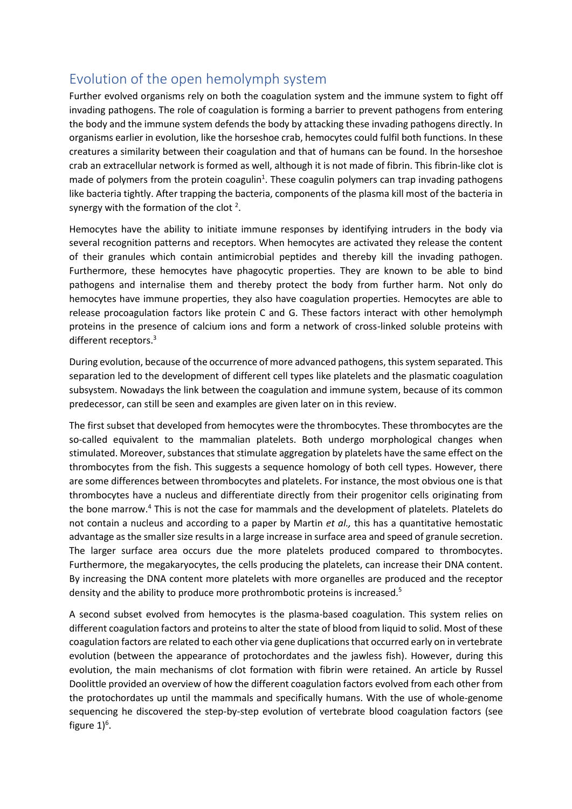### <span id="page-4-0"></span>Evolution of the open hemolymph system

Further evolved organisms rely on both the coagulation system and the immune system to fight off invading pathogens. The role of coagulation is forming a barrier to prevent pathogens from entering the body and the immune system defends the body by attacking these invading pathogens directly. In organisms earlier in evolution, like the horseshoe crab, hemocytes could fulfil both functions. In these creatures a similarity between their coagulation and that of humans can be found. In the horseshoe crab an extracellular network is formed as well, although it is not made of fibrin. This fibrin-like clot is made of polymers from the protein coagulin<sup>1</sup>. These coagulin polymers can trap invading pathogens like bacteria tightly. After trapping the bacteria, components of the plasma kill most of the bacteria in synergy with the formation of the clot  $2$ .

Hemocytes have the ability to initiate immune responses by identifying intruders in the body via several recognition patterns and receptors. When hemocytes are activated they release the content of their granules which contain antimicrobial peptides and thereby kill the invading pathogen. Furthermore, these hemocytes have phagocytic properties. They are known to be able to bind pathogens and internalise them and thereby protect the body from further harm. Not only do hemocytes have immune properties, they also have coagulation properties. Hemocytes are able to release procoagulation factors like protein C and G. These factors interact with other hemolymph proteins in the presence of calcium ions and form a network of cross-linked soluble proteins with different receptors.<sup>3</sup>

During evolution, because of the occurrence of more advanced pathogens, this system separated. This separation led to the development of different cell types like platelets and the plasmatic coagulation subsystem. Nowadays the link between the coagulation and immune system, because of its common predecessor, can still be seen and examples are given later on in this review.

The first subset that developed from hemocytes were the thrombocytes. These thrombocytes are the so-called equivalent to the mammalian platelets. Both undergo morphological changes when stimulated. Moreover, substances that stimulate aggregation by platelets have the same effect on the thrombocytes from the fish. This suggests a sequence homology of both cell types. However, there are some differences between thrombocytes and platelets. For instance, the most obvious one is that thrombocytes have a nucleus and differentiate directly from their progenitor cells originating from the bone marrow.<sup>4</sup> This is not the case for mammals and the development of platelets. Platelets do not contain a nucleus and according to a paper by Martin *et al.,* this has a quantitative hemostatic advantage as the smaller size results in a large increase in surface area and speed of granule secretion. The larger surface area occurs due the more platelets produced compared to thrombocytes. Furthermore, the megakaryocytes, the cells producing the platelets, can increase their DNA content. By increasing the DNA content more platelets with more organelles are produced and the receptor density and the ability to produce more prothrombotic proteins is increased. 5

A second subset evolved from hemocytes is the plasma-based coagulation. This system relies on different coagulation factors and proteins to alter the state of blood from liquid to solid. Most of these coagulation factors are related to each other via gene duplications that occurred early on in vertebrate evolution (between the appearance of protochordates and the jawless fish). However, during this evolution, the main mechanisms of clot formation with fibrin were retained. An article by Russel Doolittle provided an overview of how the different coagulation factors evolved from each other from the protochordates up until the mammals and specifically humans. With the use of whole-genome sequencing he discovered the step-by-step evolution of vertebrate blood coagulation factors (see figure  $1$ <sup>6</sup>.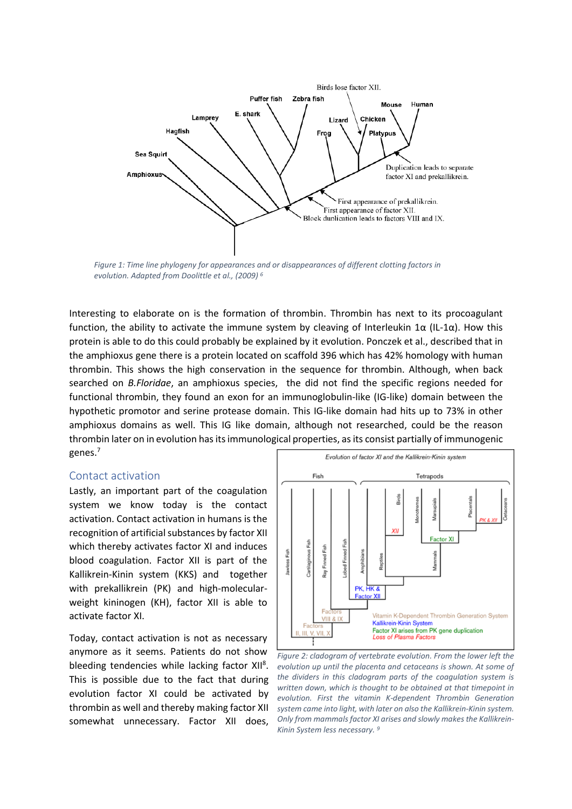

*Figure 1: Time line phylogeny for appearances and or disappearances of different clotting factors in evolution. Adapted from Doolittle et al., (2009) 6*

Interesting to elaborate on is the formation of thrombin. Thrombin has next to its procoagulant function, the ability to activate the immune system by cleaving of Interleukin 1 $\alpha$  (IL-1 $\alpha$ ). How this protein is able to do this could probably be explained by it evolution. Ponczek et al., described that in the amphioxus gene there is a protein located on scaffold 396 which has 42% homology with human thrombin. This shows the high conservation in the sequence for thrombin. Although, when back searched on *B.Floridae*, an amphioxus species, the did not find the specific regions needed for functional thrombin, they found an exon for an immunoglobulin-like (IG-like) domain between the hypothetic promotor and serine protease domain. This IG-like domain had hits up to 73% in other amphioxus domains as well. This IG like domain, although not researched, could be the reason thrombin later on in evolution has its immunological properties, as its consist partially of immunogenic genes.<sup>7</sup>

#### <span id="page-5-0"></span>Contact activation

Lastly, an important part of the coagulation system we know today is the contact activation. Contact activation in humans is the recognition of artificial substances by factor XII which thereby activates factor XI and induces blood coagulation. Factor XII is part of the Kallikrein-Kinin system (KKS) and together with prekallikrein (PK) and high-molecularweight kininogen (KH), factor XII is able to activate factor XI.

Today, contact activation is not as necessary anymore as it seems. Patients do not show bleeding tendencies while lacking factor XII<sup>8</sup>. This is possible due to the fact that during evolution factor XI could be activated by thrombin as well and thereby making factor XII somewhat unnecessary. Factor XII does,



*Figure 2: cladogram of vertebrate evolution. From the lower left the evolution up until the placenta and cetaceans is shown. At some of the dividers in this cladogram parts of the coagulation system is written down, which is thought to be obtained at that timepoint in evolution. First the vitamin K-dependent Thrombin Generation system came into light, with later on also the Kallikrein-Kinin system. Only from mammals factor XI arises and slowly makes the Kallikrein-Kinin System less necessary. 9*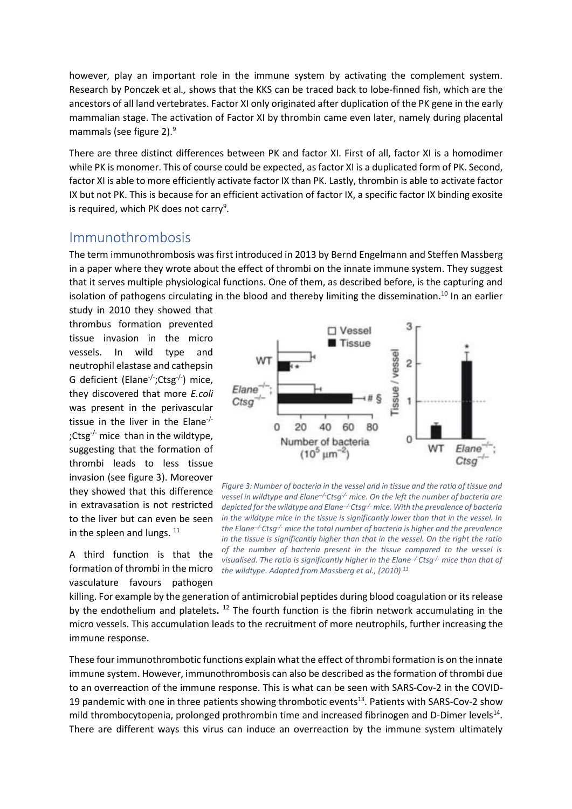however, play an important role in the immune system by activating the complement system. Research by Ponczek et al*.,* shows that the KKS can be traced back to lobe-finned fish, which are the ancestors of all land vertebrates. Factor XI only originated after duplication of the PK gene in the early mammalian stage. The activation of Factor XI by thrombin came even later, namely during placental mammals (see figure 2).<sup>9</sup>

There are three distinct differences between PK and factor XI. First of all, factor XI is a homodimer while PK is monomer. This of course could be expected, as factor XI is a duplicated form of PK. Second, factor XI is able to more efficiently activate factor IX than PK. Lastly, thrombin is able to activate factor IX but not PK. This is because for an efficient activation of factor IX, a specific factor IX binding exosite is required, which PK does not carry<sup>9</sup>.

#### <span id="page-6-0"></span>Immunothrombosis

The term immunothrombosis was first introduced in 2013 by Bernd Engelmann and Steffen Massberg in a paper where they wrote about the effect of thrombi on the innate immune system. They suggest that it serves multiple physiological functions. One of them, as described before, is the capturing and isolation of pathogens circulating in the blood and thereby limiting the dissemination.<sup>10</sup> In an earlier

study in 2010 they showed that thrombus formation prevented tissue invasion in the micro vessels. In wild type and neutrophil elastase and cathepsin G deficient (Elane<sup>-/-</sup>;Ctsg<sup>-/-</sup>) mice, they discovered that more *E.coli* was present in the perivascular tissue in the liver in the Elane-/- ;Ctsg<sup>-/-</sup> mice than in the wildtype, suggesting that the formation of thrombi leads to less tissue invasion (see figure 3). Moreover they showed that this difference in extravasation is not restricted to the liver but can even be seen in the spleen and lungs. 11

A third function is that the vasculature favours pathogen



formation of thrombi in the micro *the wildtype. Adapted from Massberg et al., (2010) 11Figure 3: Number of bacteria in the vessel and in tissue and the ratio of tissue and vessel in wildtype and Elane--/-Ctsg-/- mice. On the left the number of bacteria are depicted for the wildtype and Elane--/-Ctsg-/- mice. With the prevalence of bacteria in the wildtype mice in the tissue is significantly lower than that in the vessel. In the Elane--/-Ctsg-/- mice the total number of bacteria is higher and the prevalence in the tissue is significantly higher than that in the vessel. On the right the ratio of the number of bacteria present in the tissue compared to the vessel is visualised. The ratio is significantly higher in the Elane<sup>-/-</sup>Ctsg<sup>-/-</sup> mice than that of* 

killing. For example by the generation of antimicrobial peptides during blood coagulation or its release by the endothelium and platelets.<sup>12</sup> The fourth function is the fibrin network accumulating in the micro vessels. This accumulation leads to the recruitment of more neutrophils, further increasing the immune response.

These four immunothrombotic functions explain what the effect of thrombi formation is on the innate immune system. However, immunothrombosis can also be described as the formation of thrombi due to an overreaction of the immune response. This is what can be seen with SARS-Cov-2 in the COVID-19 pandemic with one in three patients showing thrombotic events<sup>13</sup>. Patients with SARS-Cov-2 show mild thrombocytopenia, prolonged prothrombin time and increased fibrinogen and D-Dimer levels<sup>14</sup>. There are different ways this virus can induce an overreaction by the immune system ultimately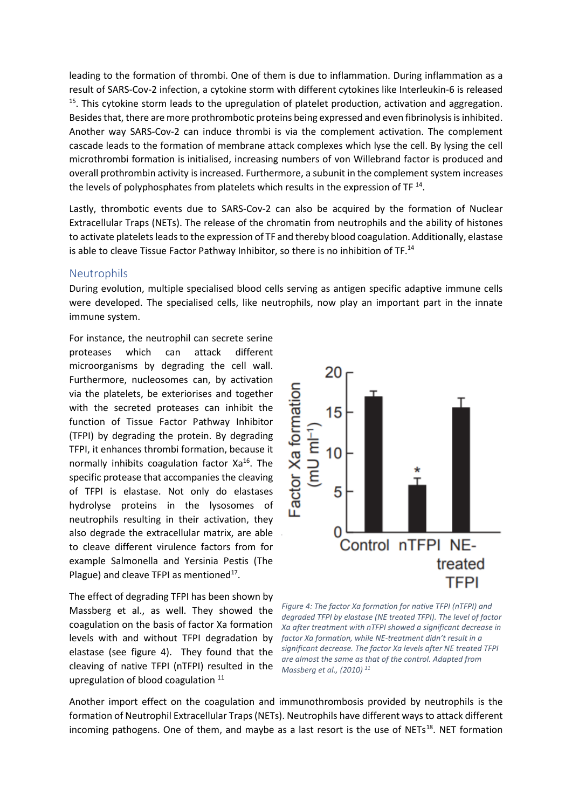leading to the formation of thrombi. One of them is due to inflammation. During inflammation as a result of SARS-Cov-2 infection, a cytokine storm with different cytokines like Interleukin-6 is released <sup>15</sup>. This cytokine storm leads to the upregulation of platelet production, activation and aggregation. Besides that, there are more prothrombotic proteins being expressed and even fibrinolysis is inhibited. Another way SARS-Cov-2 can induce thrombi is via the complement activation. The complement cascade leads to the formation of membrane attack complexes which lyse the cell. By lysing the cell microthrombi formation is initialised, increasing numbers of von Willebrand factor is produced and overall prothrombin activity is increased. Furthermore, a subunit in the complement system increases the levels of polyphosphates from platelets which results in the expression of TF  $^{14}$ .

Lastly, thrombotic events due to SARS-Cov-2 can also be acquired by the formation of Nuclear Extracellular Traps (NETs). The release of the chromatin from neutrophils and the ability of histones to activate platelets leads to the expression of TF and thereby blood coagulation. Additionally, elastase is able to cleave Tissue Factor Pathway Inhibitor, so there is no inhibition of TF.<sup>14</sup>

#### <span id="page-7-0"></span>**Neutrophils**

During evolution, multiple specialised blood cells serving as antigen specific adaptive immune cells were developed. The specialised cells, like neutrophils, now play an important part in the innate immune system.

For instance, the neutrophil can secrete serine proteases which can attack different microorganisms by degrading the cell wall. Furthermore, nucleosomes can, by activation via the platelets, be exteriorises and together with the secreted proteases can inhibit the function of Tissue Factor Pathway Inhibitor (TFPI) by degrading the protein. By degrading TFPI, it enhances thrombi formation, because it normally inhibits coagulation factor Xa<sup>16</sup>. The specific protease that accompanies the cleaving of TFPI is elastase. Not only do elastases hydrolyse proteins in the lysosomes of neutrophils resulting in their activation, they also degrade the extracellular matrix, are able to cleave different virulence factors from for example Salmonella and Yersinia Pestis (The Plague) and cleave TFPI as mentioned $^{17}$ .

The effect of degrading TFPI has been shown by Massberg et al., as well. They showed the coagulation on the basis of factor Xa formation levels with and without TFPI degradation by elastase (see figure 4). They found that the cleaving of native TFPI (nTFPI) resulted in the upregulation of blood coagulation <sup>11</sup>



*Figure 4: The factor Xa formation for native TFPI (nTFPI) and degraded TFPI by elastase (NE treated TFPI). The level of factor Xa after treatment with nTFPI showed a significant decrease in factor Xa formation, while NE-treatment didn't result in a significant decrease. The factor Xa levels after NE treated TFPI are almost the same as that of the control. Adapted from Massberg et al., (2010) 11*

Another import effect on the coagulation and immunothrombosis provided by neutrophils is the formation of Neutrophil Extracellular Traps (NETs). Neutrophils have different ways to attack different incoming pathogens. One of them, and maybe as a last resort is the use of NETs<sup>18</sup>. NET formation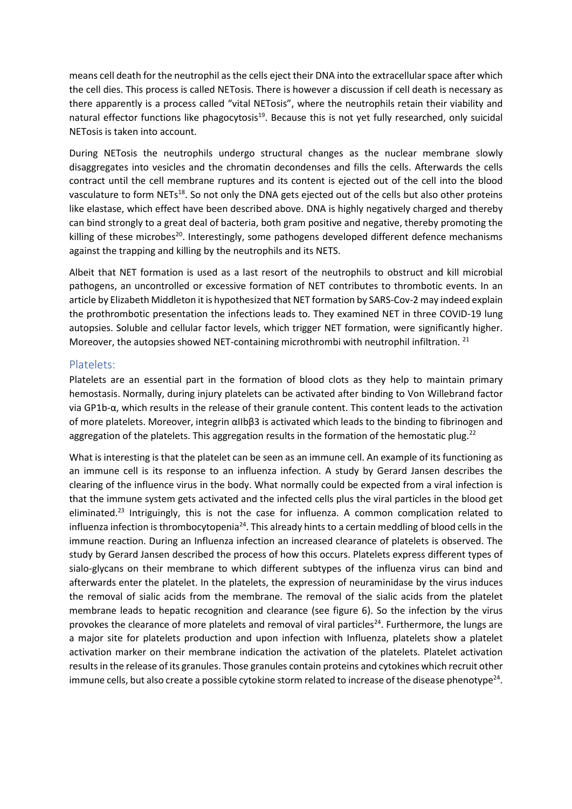means cell death for the neutrophil as the cells eject their DNA into the extracellular space after which the cell dies. This process is called NETosis. There is however a discussion if cell death is necessary as there apparently is a process called "vital NETosis", where the neutrophils retain their viability and natural effector functions like phagocytosis<sup>19</sup>. Because this is not yet fully researched, only suicidal NETosis is taken into account.

During NETosis the neutrophils undergo structural changes as the nuclear membrane slowly disaggregates into vesicles and the chromatin decondenses and fills the cells. Afterwards the cells contract until the cell membrane ruptures and its content is ejected out of the cell into the blood vasculature to form NETs<sup>18</sup>. So not only the DNA gets ejected out of the cells but also other proteins like elastase, which effect have been described above. DNA is highly negatively charged and thereby can bind strongly to a great deal of bacteria, both gram positive and negative, thereby promoting the killing of these microbes<sup>20</sup>. Interestingly, some pathogens developed different defence mechanisms against the trapping and killing by the neutrophils and its NETS.

Albeit that NET formation is used as a last resort of the neutrophils to obstruct and kill microbial pathogens, an uncontrolled or excessive formation of NET contributes to thrombotic events. In an article by Elizabeth Middleton it is hypothesized that NET formation by SARS-Cov-2 may indeed explain the prothrombotic presentation the infections leads to. They examined NET in three COVID-19 lung autopsies. Soluble and cellular factor levels, which trigger NET formation, were significantly higher. Moreover, the autopsies showed NET-containing microthrombi with neutrophil infiltration. <sup>21</sup>

#### <span id="page-8-0"></span>Platelets:

Platelets are an essential part in the formation of blood clots as they help to maintain primary hemostasis. Normally, during injury platelets can be activated after binding to Von Willebrand factor via GP1b-α, which results in the release of their granule content. This content leads to the activation of more platelets. Moreover, integrin αIIbβ3 is activated which leads to the binding to fibrinogen and aggregation of the platelets. This aggregation results in the formation of the hemostatic plug.<sup>22</sup>

What is interesting is that the platelet can be seen as an immune cell. An example of its functioning as an immune cell is its response to an influenza infection. A study by Gerard Jansen describes the clearing of the influence virus in the body. What normally could be expected from a viral infection is that the immune system gets activated and the infected cells plus the viral particles in the blood get eliminated.<sup>23</sup> Intriguingly, this is not the case for influenza. A common complication related to influenza infection is thrombocytopenia<sup>24</sup>. This already hints to a certain meddling of blood cells in the immune reaction. During an Influenza infection an increased clearance of platelets is observed. The study by Gerard Jansen described the process of how this occurs. Platelets express different types of sialo-glycans on their membrane to which different subtypes of the influenza virus can bind and afterwards enter the platelet. In the platelets, the expression of neuraminidase by the virus induces the removal of sialic acids from the membrane. The removal of the sialic acids from the platelet membrane leads to hepatic recognition and clearance (see figure 6). So the infection by the virus provokes the clearance of more platelets and removal of viral particles<sup>24</sup>. Furthermore, the lungs are a major site for platelets production and upon infection with Influenza, platelets show a platelet activation marker on their membrane indication the activation of the platelets. Platelet activation results in the release of its granules. Those granules contain proteins and cytokines which recruit other immune cells, but also create a possible cytokine storm related to increase of the disease phenotype<sup>24</sup>.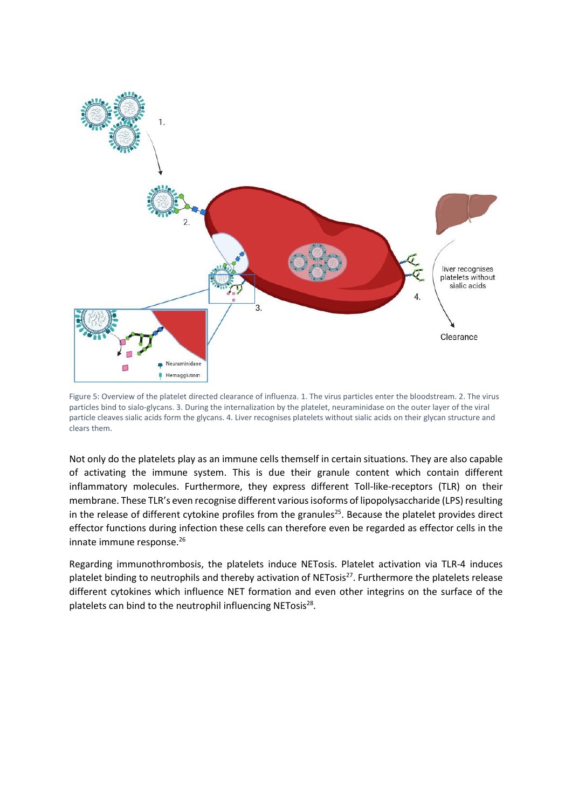

Figure 5: Overview of the platelet directed clearance of influenza. 1. The virus particles enter the bloodstream. 2. The virus particles bind to sialo-glycans. 3. During the internalization by the platelet, neuraminidase on the outer layer of the viral particle cleaves sialic acids form the glycans. 4. Liver recognises platelets without sialic acids on their glycan structure and clears them.

Not only do the platelets play as an immune cells themself in certain situations. They are also capable of activating the immune system. This is due their granule content which contain different inflammatory molecules. Furthermore, they express different Toll-like-receptors (TLR) on their membrane. These TLR's even recognise different various isoforms of lipopolysaccharide (LPS) resulting in the release of different cytokine profiles from the granules<sup>25</sup>. Because the platelet provides direct effector functions during infection these cells can therefore even be regarded as effector cells in the innate immune response.<sup>26</sup>

Regarding immunothrombosis, the platelets induce NETosis. Platelet activation via TLR-4 induces platelet binding to neutrophils and thereby activation of NETosis<sup>27</sup>. Furthermore the platelets release different cytokines which influence NET formation and even other integrins on the surface of the platelets can bind to the neutrophil influencing NETosis<sup>28</sup>.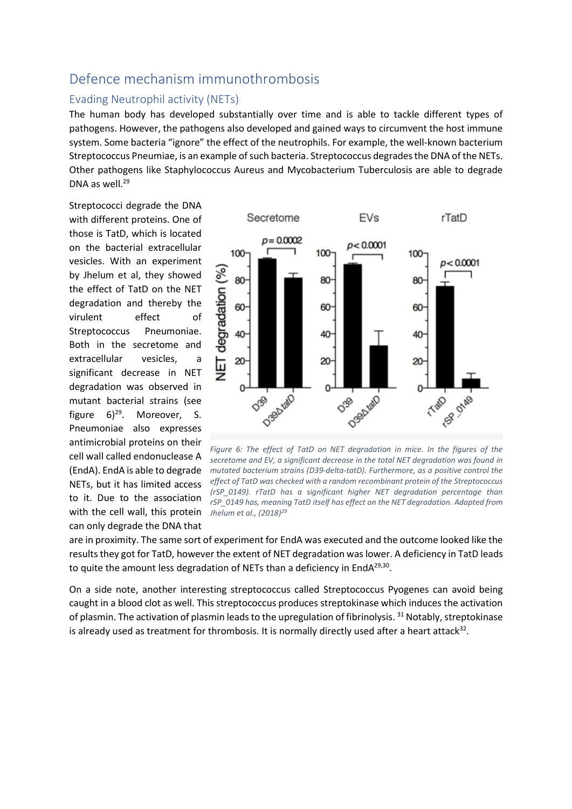### <span id="page-10-0"></span>Defence mechanism immunothrombosis

#### <span id="page-10-1"></span>Evading Neutrophil activity (NETs)

The human body has developed substantially over time and is able to tackle different types of pathogens. However, the pathogens also developed and gained ways to circumvent the host immune system. Some bacteria "ignore" the effect of the neutrophils. For example, the well-known bacterium Streptococcus Pneumiae, is an example of such bacteria. Streptococcus degradesthe DNA of the NETs. Other pathogens like Staphylococcus Aureus and Mycobacterium Tuberculosis are able to degrade DNA as well. 29

Streptococci degrade the DNA with different proteins. One of those is TatD, which is located on the bacterial extracellular vesicles. With an experiment by Jhelum et al, they showed the effect of TatD on the NET degradation and thereby the virulent effect of Streptococcus Pneumoniae. Both in the secretome and extracellular vesicles, a significant decrease in NET degradation was observed in mutant bacterial strains (see figure 6)<sup>29</sup> Moreover, S. Pneumoniae also expresses antimicrobial proteins on their cell wall called endonuclease A NETs, but it has limited access to it. Due to the association with the cell wall, this protein *Jhelum et al., (2018) 29*can only degrade the DNA that



(EndA). EndA is able to degrade *mutated bacterium strains (D39-delta-tatD). Furthermore, as a positive control the Figure 6: The effect of TatD on NET degradation in mice. In the figures of the secretome and EV, a significant decrease in the total NET degradation was found in effect of TatD was checked with a random recombinant protein of the Streptococcus (rSP\_0149). rTatD has a significant higher NET degradation percentage than rSP\_0149 has, meaning TatD itself has effect on the NET degradation. Adapted from* 

are in proximity. The same sort of experiment for EndA was executed and the outcome looked like the results they got for TatD, however the extent of NET degradation was lower. A deficiency in TatD leads to quite the amount less degradation of NETs than a deficiency in EndA $^{29,30}$ .

On a side note, another interesting streptococcus called Streptococcus Pyogenes can avoid being caught in a blood clot as well. This streptococcus produces streptokinase which induces the activation of plasmin. The activation of plasmin leads to the upregulation of fibrinolysis. <sup>31</sup> Notably, streptokinase is already used as treatment for thrombosis. It is normally directly used after a heart attack<sup>32</sup>.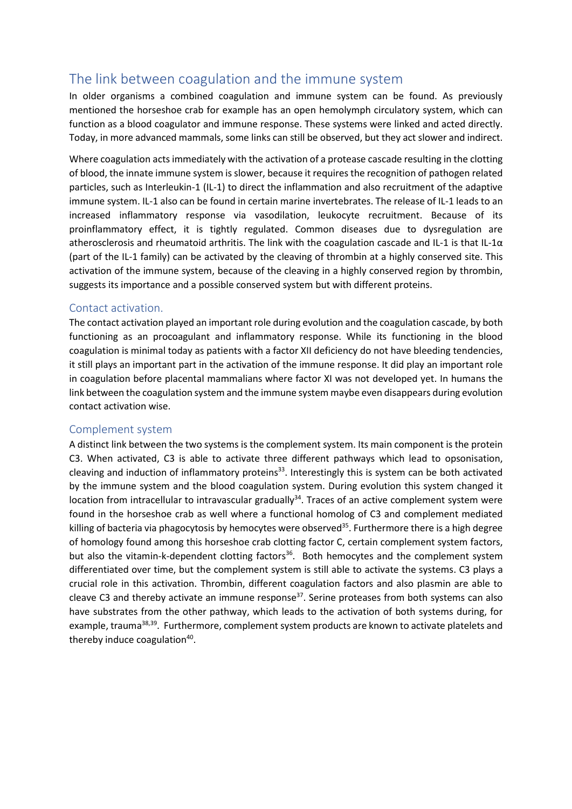### <span id="page-11-0"></span>The link between coagulation and the immune system

In older organisms a combined coagulation and immune system can be found. As previously mentioned the horseshoe crab for example has an open hemolymph circulatory system, which can function as a blood coagulator and immune response. These systems were linked and acted directly. Today, in more advanced mammals, some links can still be observed, but they act slower and indirect.

Where coagulation acts immediately with the activation of a protease cascade resulting in the clotting of blood, the innate immune system is slower, because it requires the recognition of pathogen related particles, such as Interleukin-1 (IL-1) to direct the inflammation and also recruitment of the adaptive immune system. IL-1 also can be found in certain marine invertebrates. The release of IL-1 leads to an increased inflammatory response via vasodilation, leukocyte recruitment. Because of its proinflammatory effect, it is tightly regulated. Common diseases due to dysregulation are atherosclerosis and rheumatoid arthritis. The link with the coagulation cascade and IL-1 is that IL-1α (part of the IL-1 family) can be activated by the cleaving of thrombin at a highly conserved site. This activation of the immune system, because of the cleaving in a highly conserved region by thrombin, suggests its importance and a possible conserved system but with different proteins.

#### <span id="page-11-1"></span>Contact activation.

The contact activation played an important role during evolution and the coagulation cascade, by both functioning as an procoagulant and inflammatory response. While its functioning in the blood coagulation is minimal today as patients with a factor XII deficiency do not have bleeding tendencies, it still plays an important part in the activation of the immune response. It did play an important role in coagulation before placental mammalians where factor XI was not developed yet. In humans the link between the coagulation system and the immune system maybe even disappears during evolution contact activation wise.

#### <span id="page-11-2"></span>Complement system

A distinct link between the two systems is the complement system. Its main component is the protein C3. When activated, C3 is able to activate three different pathways which lead to opsonisation, cleaving and induction of inflammatory proteins<sup>33</sup>. Interestingly this is system can be both activated by the immune system and the blood coagulation system. During evolution this system changed it location from intracellular to intravascular gradually<sup>34</sup>. Traces of an active complement system were found in the horseshoe crab as well where a functional homolog of C3 and complement mediated killing of bacteria via phagocytosis by hemocytes were observed<sup>35</sup>. Furthermore there is a high degree of homology found among this horseshoe crab clotting factor C, certain complement system factors, but also the vitamin-k-dependent clotting factors<sup>36</sup>. Both hemocytes and the complement system differentiated over time, but the complement system is still able to activate the systems. C3 plays a crucial role in this activation. Thrombin, different coagulation factors and also plasmin are able to cleave C3 and thereby activate an immune response<sup>37</sup>. Serine proteases from both systems can also have substrates from the other pathway, which leads to the activation of both systems during, for example, trauma<sup>38,39</sup>. Furthermore, complement system products are known to activate platelets and thereby induce coagulation<sup>40</sup>.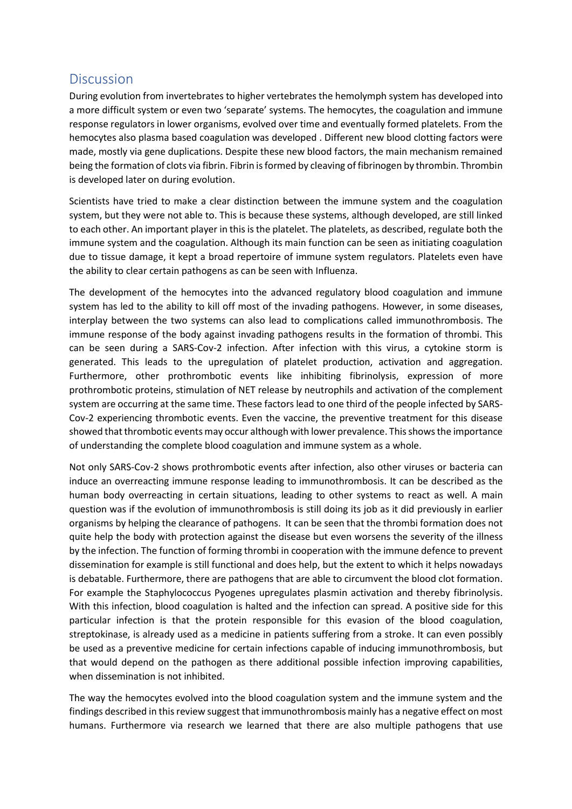### <span id="page-12-0"></span>**Discussion**

During evolution from invertebrates to higher vertebrates the hemolymph system has developed into a more difficult system or even two 'separate' systems. The hemocytes, the coagulation and immune response regulators in lower organisms, evolved over time and eventually formed platelets. From the hemocytes also plasma based coagulation was developed . Different new blood clotting factors were made, mostly via gene duplications. Despite these new blood factors, the main mechanism remained being the formation of clots via fibrin. Fibrin is formed by cleaving of fibrinogen by thrombin. Thrombin is developed later on during evolution.

Scientists have tried to make a clear distinction between the immune system and the coagulation system, but they were not able to. This is because these systems, although developed, are still linked to each other. An important player in this is the platelet. The platelets, as described, regulate both the immune system and the coagulation. Although its main function can be seen as initiating coagulation due to tissue damage, it kept a broad repertoire of immune system regulators. Platelets even have the ability to clear certain pathogens as can be seen with Influenza.

The development of the hemocytes into the advanced regulatory blood coagulation and immune system has led to the ability to kill off most of the invading pathogens. However, in some diseases, interplay between the two systems can also lead to complications called immunothrombosis. The immune response of the body against invading pathogens results in the formation of thrombi. This can be seen during a SARS-Cov-2 infection. After infection with this virus, a cytokine storm is generated. This leads to the upregulation of platelet production, activation and aggregation. Furthermore, other prothrombotic events like inhibiting fibrinolysis, expression of more prothrombotic proteins, stimulation of NET release by neutrophils and activation of the complement system are occurring at the same time. These factors lead to one third of the people infected by SARS-Cov-2 experiencing thrombotic events. Even the vaccine, the preventive treatment for this disease showed that thrombotic events may occur although with lower prevalence. This shows the importance of understanding the complete blood coagulation and immune system as a whole.

Not only SARS-Cov-2 shows prothrombotic events after infection, also other viruses or bacteria can induce an overreacting immune response leading to immunothrombosis. It can be described as the human body overreacting in certain situations, leading to other systems to react as well. A main question was if the evolution of immunothrombosis is still doing its job as it did previously in earlier organisms by helping the clearance of pathogens. It can be seen that the thrombi formation does not quite help the body with protection against the disease but even worsens the severity of the illness by the infection. The function of forming thrombi in cooperation with the immune defence to prevent dissemination for example is still functional and does help, but the extent to which it helps nowadays is debatable. Furthermore, there are pathogens that are able to circumvent the blood clot formation. For example the Staphylococcus Pyogenes upregulates plasmin activation and thereby fibrinolysis. With this infection, blood coagulation is halted and the infection can spread. A positive side for this particular infection is that the protein responsible for this evasion of the blood coagulation, streptokinase, is already used as a medicine in patients suffering from a stroke. It can even possibly be used as a preventive medicine for certain infections capable of inducing immunothrombosis, but that would depend on the pathogen as there additional possible infection improving capabilities, when dissemination is not inhibited.

The way the hemocytes evolved into the blood coagulation system and the immune system and the findings described in this review suggest that immunothrombosis mainly has a negative effect on most humans. Furthermore via research we learned that there are also multiple pathogens that use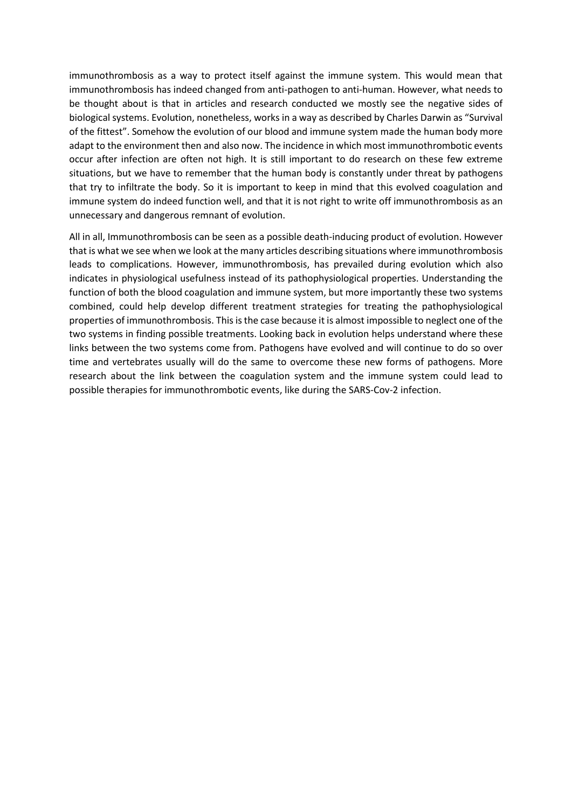immunothrombosis as a way to protect itself against the immune system. This would mean that immunothrombosis has indeed changed from anti-pathogen to anti-human. However, what needs to be thought about is that in articles and research conducted we mostly see the negative sides of biological systems. Evolution, nonetheless, works in a way as described by Charles Darwin as "Survival of the fittest". Somehow the evolution of our blood and immune system made the human body more adapt to the environment then and also now. The incidence in which most immunothrombotic events occur after infection are often not high. It is still important to do research on these few extreme situations, but we have to remember that the human body is constantly under threat by pathogens that try to infiltrate the body. So it is important to keep in mind that this evolved coagulation and immune system do indeed function well, and that it is not right to write off immunothrombosis as an unnecessary and dangerous remnant of evolution.

<span id="page-13-0"></span>All in all, Immunothrombosis can be seen as a possible death-inducing product of evolution. However that is what we see when we look at the many articles describing situations where immunothrombosis leads to complications. However, immunothrombosis, has prevailed during evolution which also indicates in physiological usefulness instead of its pathophysiological properties. Understanding the function of both the blood coagulation and immune system, but more importantly these two systems combined, could help develop different treatment strategies for treating the pathophysiological properties of immunothrombosis. This is the case because it is almost impossible to neglect one of the two systems in finding possible treatments. Looking back in evolution helps understand where these links between the two systems come from. Pathogens have evolved and will continue to do so over time and vertebrates usually will do the same to overcome these new forms of pathogens. More research about the link between the coagulation system and the immune system could lead to possible therapies for immunothrombotic events, like during the SARS-Cov-2 infection.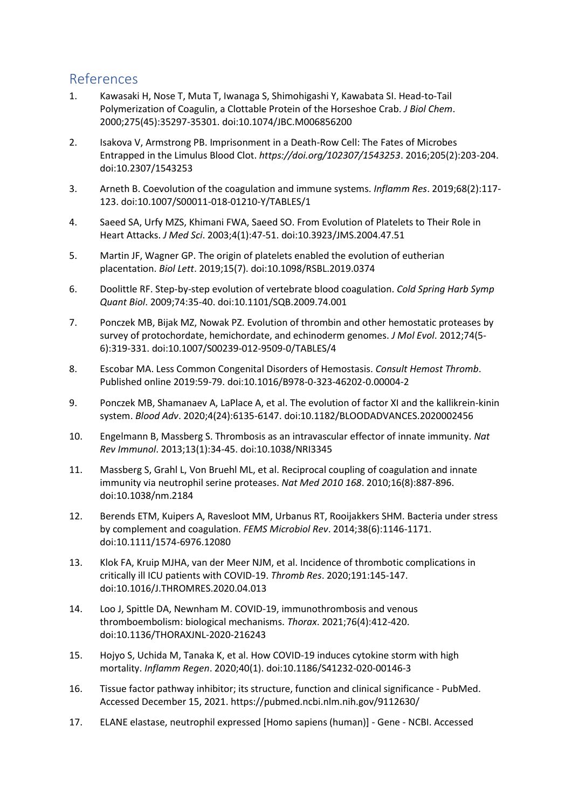### References

- 1. Kawasaki H, Nose T, Muta T, Iwanaga S, Shimohigashi Y, Kawabata SI. Head-to-Tail Polymerization of Coagulin, a Clottable Protein of the Horseshoe Crab. *J Biol Chem*. 2000;275(45):35297-35301. doi:10.1074/JBC.M006856200
- 2. Isakova V, Armstrong PB. Imprisonment in a Death-Row Cell: The Fates of Microbes Entrapped in the Limulus Blood Clot. *https://doi.org/102307/1543253*. 2016;205(2):203-204. doi:10.2307/1543253
- 3. Arneth B. Coevolution of the coagulation and immune systems. *Inflamm Res*. 2019;68(2):117- 123. doi:10.1007/S00011-018-01210-Y/TABLES/1
- 4. Saeed SA, Urfy MZS, Khimani FWA, Saeed SO. From Evolution of Platelets to Their Role in Heart Attacks. *J Med Sci*. 2003;4(1):47-51. doi:10.3923/JMS.2004.47.51
- 5. Martin JF, Wagner GP. The origin of platelets enabled the evolution of eutherian placentation. *Biol Lett*. 2019;15(7). doi:10.1098/RSBL.2019.0374
- 6. Doolittle RF. Step-by-step evolution of vertebrate blood coagulation. *Cold Spring Harb Symp Quant Biol*. 2009;74:35-40. doi:10.1101/SQB.2009.74.001
- 7. Ponczek MB, Bijak MZ, Nowak PZ. Evolution of thrombin and other hemostatic proteases by survey of protochordate, hemichordate, and echinoderm genomes. *J Mol Evol*. 2012;74(5- 6):319-331. doi:10.1007/S00239-012-9509-0/TABLES/4
- 8. Escobar MA. Less Common Congenital Disorders of Hemostasis. *Consult Hemost Thromb*. Published online 2019:59-79. doi:10.1016/B978-0-323-46202-0.00004-2
- 9. Ponczek MB, Shamanaev A, LaPlace A, et al. The evolution of factor XI and the kallikrein-kinin system. *Blood Adv*. 2020;4(24):6135-6147. doi:10.1182/BLOODADVANCES.2020002456
- 10. Engelmann B, Massberg S. Thrombosis as an intravascular effector of innate immunity. *Nat Rev Immunol*. 2013;13(1):34-45. doi:10.1038/NRI3345
- 11. Massberg S, Grahl L, Von Bruehl ML, et al. Reciprocal coupling of coagulation and innate immunity via neutrophil serine proteases. *Nat Med 2010 168*. 2010;16(8):887-896. doi:10.1038/nm.2184
- 12. Berends ETM, Kuipers A, Ravesloot MM, Urbanus RT, Rooijakkers SHM. Bacteria under stress by complement and coagulation. *FEMS Microbiol Rev*. 2014;38(6):1146-1171. doi:10.1111/1574-6976.12080
- 13. Klok FA, Kruip MJHA, van der Meer NJM, et al. Incidence of thrombotic complications in critically ill ICU patients with COVID-19. *Thromb Res*. 2020;191:145-147. doi:10.1016/J.THROMRES.2020.04.013
- 14. Loo J, Spittle DA, Newnham M. COVID-19, immunothrombosis and venous thromboembolism: biological mechanisms. *Thorax*. 2021;76(4):412-420. doi:10.1136/THORAXJNL-2020-216243
- 15. Hojyo S, Uchida M, Tanaka K, et al. How COVID-19 induces cytokine storm with high mortality. *Inflamm Regen*. 2020;40(1). doi:10.1186/S41232-020-00146-3
- 16. Tissue factor pathway inhibitor; its structure, function and clinical significance PubMed. Accessed December 15, 2021. https://pubmed.ncbi.nlm.nih.gov/9112630/
- 17. ELANE elastase, neutrophil expressed [Homo sapiens (human)] Gene NCBI. Accessed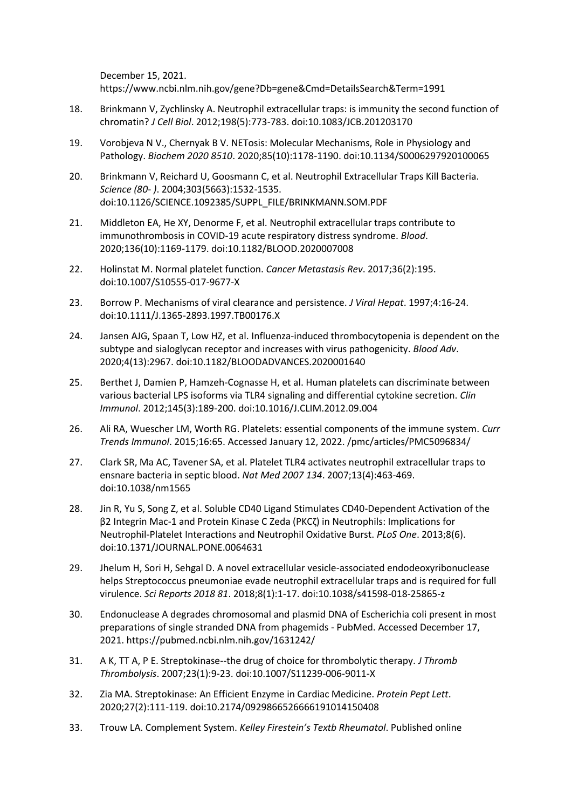December 15, 2021. https://www.ncbi.nlm.nih.gov/gene?Db=gene&Cmd=DetailsSearch&Term=1991

- 18. Brinkmann V, Zychlinsky A. Neutrophil extracellular traps: is immunity the second function of chromatin? *J Cell Biol*. 2012;198(5):773-783. doi:10.1083/JCB.201203170
- 19. Vorobjeva N V., Chernyak B V. NETosis: Molecular Mechanisms, Role in Physiology and Pathology. *Biochem 2020 8510*. 2020;85(10):1178-1190. doi:10.1134/S0006297920100065
- 20. Brinkmann V, Reichard U, Goosmann C, et al. Neutrophil Extracellular Traps Kill Bacteria. *Science (80- )*. 2004;303(5663):1532-1535. doi:10.1126/SCIENCE.1092385/SUPPL\_FILE/BRINKMANN.SOM.PDF
- 21. Middleton EA, He XY, Denorme F, et al. Neutrophil extracellular traps contribute to immunothrombosis in COVID-19 acute respiratory distress syndrome. *Blood*. 2020;136(10):1169-1179. doi:10.1182/BLOOD.2020007008
- 22. Holinstat M. Normal platelet function. *Cancer Metastasis Rev*. 2017;36(2):195. doi:10.1007/S10555-017-9677-X
- 23. Borrow P. Mechanisms of viral clearance and persistence. *J Viral Hepat*. 1997;4:16-24. doi:10.1111/J.1365-2893.1997.TB00176.X
- 24. Jansen AJG, Spaan T, Low HZ, et al. Influenza-induced thrombocytopenia is dependent on the subtype and sialoglycan receptor and increases with virus pathogenicity. *Blood Adv*. 2020;4(13):2967. doi:10.1182/BLOODADVANCES.2020001640
- 25. Berthet J, Damien P, Hamzeh-Cognasse H, et al. Human platelets can discriminate between various bacterial LPS isoforms via TLR4 signaling and differential cytokine secretion. *Clin Immunol*. 2012;145(3):189-200. doi:10.1016/J.CLIM.2012.09.004
- 26. Ali RA, Wuescher LM, Worth RG. Platelets: essential components of the immune system. *Curr Trends Immunol*. 2015;16:65. Accessed January 12, 2022. /pmc/articles/PMC5096834/
- 27. Clark SR, Ma AC, Tavener SA, et al. Platelet TLR4 activates neutrophil extracellular traps to ensnare bacteria in septic blood. *Nat Med 2007 134*. 2007;13(4):463-469. doi:10.1038/nm1565
- 28. Jin R, Yu S, Song Z, et al. Soluble CD40 Ligand Stimulates CD40-Dependent Activation of the β2 Integrin Mac-1 and Protein Kinase C Zeda (PKCζ) in Neutrophils: Implications for Neutrophil-Platelet Interactions and Neutrophil Oxidative Burst. *PLoS One*. 2013;8(6). doi:10.1371/JOURNAL.PONE.0064631
- 29. Jhelum H, Sori H, Sehgal D. A novel extracellular vesicle-associated endodeoxyribonuclease helps Streptococcus pneumoniae evade neutrophil extracellular traps and is required for full virulence. *Sci Reports 2018 81*. 2018;8(1):1-17. doi:10.1038/s41598-018-25865-z
- 30. Endonuclease A degrades chromosomal and plasmid DNA of Escherichia coli present in most preparations of single stranded DNA from phagemids - PubMed. Accessed December 17, 2021. https://pubmed.ncbi.nlm.nih.gov/1631242/
- 31. A K, TT A, P E. Streptokinase--the drug of choice for thrombolytic therapy. *J Thromb Thrombolysis*. 2007;23(1):9-23. doi:10.1007/S11239-006-9011-X
- 32. Zia MA. Streptokinase: An Efficient Enzyme in Cardiac Medicine. *Protein Pept Lett*. 2020;27(2):111-119. doi:10.2174/0929866526666191014150408
- 33. Trouw LA. Complement System. *Kelley Firestein's Textb Rheumatol*. Published online